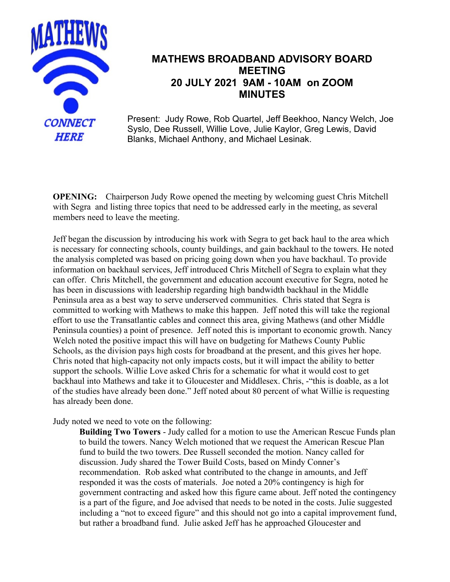

## **MATHEWS BROADBAND ADVISORY BOARD MEETING 20 JULY 2021 9AM - 10AM on ZOOM MINUTES**

Present: Judy Rowe, Rob Quartel, Jeff Beekhoo, Nancy Welch, Joe Syslo, Dee Russell, Willie Love, Julie Kaylor, Greg Lewis, David Blanks, Michael Anthony, and Michael Lesinak.

**OPENING:** Chairperson Judy Rowe opened the meeting by welcoming guest Chris Mitchell with Segra and listing three topics that need to be addressed early in the meeting, as several members need to leave the meeting.

Jeff began the discussion by introducing his work with Segra to get back haul to the area which is necessary for connecting schools, county buildings, and gain backhaul to the towers. He noted the analysis completed was based on pricing going down when you have backhaul. To provide information on backhaul services, Jeff introduced Chris Mitchell of Segra to explain what they can offer. Chris Mitchell, the government and education account executive for Segra, noted he has been in discussions with leadership regarding high bandwidth backhaul in the Middle Peninsula area as a best way to serve underserved communities. Chris stated that Segra is committed to working with Mathews to make this happen. Jeff noted this will take the regional effort to use the Transatlantic cables and connect this area, giving Mathews (and other Middle Peninsula counties) a point of presence. Jeff noted this is important to economic growth. Nancy Welch noted the positive impact this will have on budgeting for Mathews County Public Schools, as the division pays high costs for broadband at the present, and this gives her hope. Chris noted that high-capacity not only impacts costs, but it will impact the ability to better support the schools. Willie Love asked Chris for a schematic for what it would cost to get backhaul into Mathews and take it to Gloucester and Middlesex. Chris, -"this is doable, as a lot of the studies have already been done." Jeff noted about 80 percent of what Willie is requesting has already been done.

Judy noted we need to vote on the following:

**Building Two Towers** - Judy called for a motion to use the American Rescue Funds plan to build the towers. Nancy Welch motioned that we request the American Rescue Plan fund to build the two towers. Dee Russell seconded the motion. Nancy called for discussion. Judy shared the Tower Build Costs, based on Mindy Conner's recommendation. Rob asked what contributed to the change in amounts, and Jeff responded it was the costs of materials. Joe noted a 20% contingency is high for government contracting and asked how this figure came about. Jeff noted the contingency is a part of the figure, and Joe advised that needs to be noted in the costs. Julie suggested including a "not to exceed figure" and this should not go into a capital improvement fund, but rather a broadband fund. Julie asked Jeff has he approached Gloucester and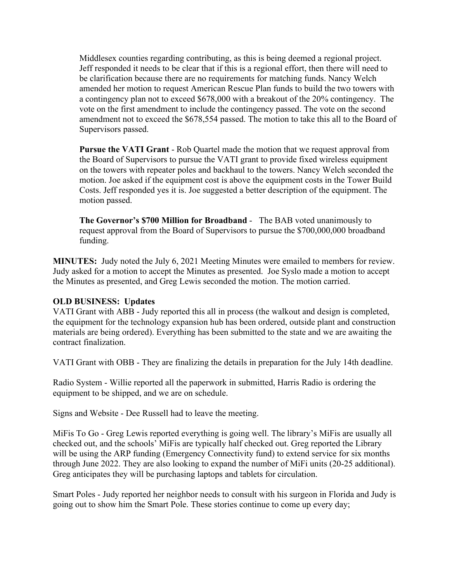Middlesex counties regarding contributing, as this is being deemed a regional project. Jeff responded it needs to be clear that if this is a regional effort, then there will need to be clarification because there are no requirements for matching funds. Nancy Welch amended her motion to request American Rescue Plan funds to build the two towers with a contingency plan not to exceed \$678,000 with a breakout of the 20% contingency. The vote on the first amendment to include the contingency passed. The vote on the second amendment not to exceed the \$678,554 passed. The motion to take this all to the Board of Supervisors passed.

**Pursue the VATI Grant** - Rob Quartel made the motion that we request approval from the Board of Supervisors to pursue the VATI grant to provide fixed wireless equipment on the towers with repeater poles and backhaul to the towers. Nancy Welch seconded the motion. Joe asked if the equipment cost is above the equipment costs in the Tower Build Costs. Jeff responded yes it is. Joe suggested a better description of the equipment. The motion passed.

**The Governor's \$700 Million for Broadband** - The BAB voted unanimously to request approval from the Board of Supervisors to pursue the \$700,000,000 broadband funding.

**MINUTES:** Judy noted the July 6, 2021 Meeting Minutes were emailed to members for review. Judy asked for a motion to accept the Minutes as presented. Joe Syslo made a motion to accept the Minutes as presented, and Greg Lewis seconded the motion. The motion carried.

## **OLD BUSINESS: Updates**

VATI Grant with ABB - Judy reported this all in process (the walkout and design is completed, the equipment for the technology expansion hub has been ordered, outside plant and construction materials are being ordered). Everything has been submitted to the state and we are awaiting the contract finalization.

VATI Grant with OBB - They are finalizing the details in preparation for the July 14th deadline.

Radio System - Willie reported all the paperwork in submitted, Harris Radio is ordering the equipment to be shipped, and we are on schedule.

Signs and Website - Dee Russell had to leave the meeting.

MiFis To Go - Greg Lewis reported everything is going well. The library's MiFis are usually all checked out, and the schools' MiFis are typically half checked out. Greg reported the Library will be using the ARP funding (Emergency Connectivity fund) to extend service for six months through June 2022. They are also looking to expand the number of MiFi units (20-25 additional). Greg anticipates they will be purchasing laptops and tablets for circulation.

Smart Poles - Judy reported her neighbor needs to consult with his surgeon in Florida and Judy is going out to show him the Smart Pole. These stories continue to come up every day;